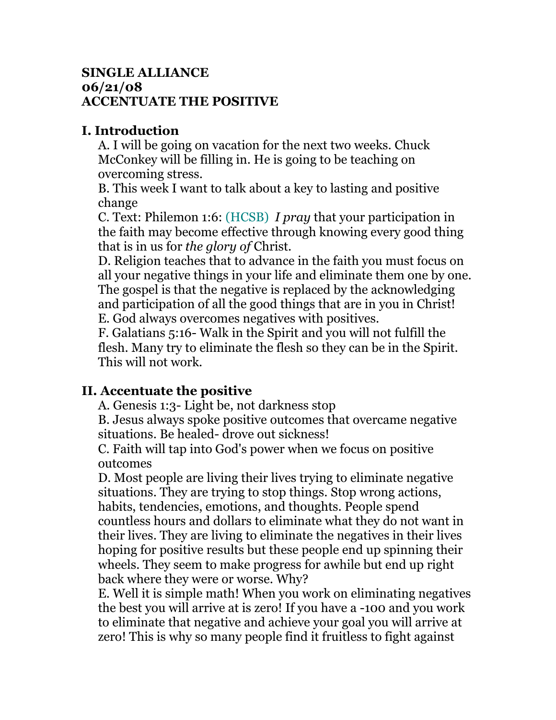## **SINGLE ALLIANCE 06/21/08 ACCENTUATE THE POSITIVE**

## **I. Introduction**

A. I will be going on vacation for the next two weeks. Chuck McConkey will be filling in. He is going to be teaching on overcoming stress.

B. This week I want to talk about a key to lasting and positive change

C. Text: Philemon 1:6: (HCSB) *I pray* that your participation in the faith may become effective through knowing every good thing that is in us for *the glory of* Christ.

D. Religion teaches that to advance in the faith you must focus on all your negative things in your life and eliminate them one by one. The gospel is that the negative is replaced by the acknowledging and participation of all the good things that are in you in Christ! E. God always overcomes negatives with positives.

F. Galatians 5:16- Walk in the Spirit and you will not fulfill the flesh. Many try to eliminate the flesh so they can be in the Spirit. This will not work.

## **II. Accentuate the positive**

A. Genesis 1:3- Light be, not darkness stop

B. Jesus always spoke positive outcomes that overcame negative situations. Be healed- drove out sickness!

C. Faith will tap into God's power when we focus on positive outcomes

D. Most people are living their lives trying to eliminate negative situations. They are trying to stop things. Stop wrong actions, habits, tendencies, emotions, and thoughts. People spend countless hours and dollars to eliminate what they do not want in their lives. They are living to eliminate the negatives in their lives hoping for positive results but these people end up spinning their wheels. They seem to make progress for awhile but end up right back where they were or worse. Why?

E. Well it is simple math! When you work on eliminating negatives the best you will arrive at is zero! If you have a -100 and you work to eliminate that negative and achieve your goal you will arrive at zero! This is why so many people find it fruitless to fight against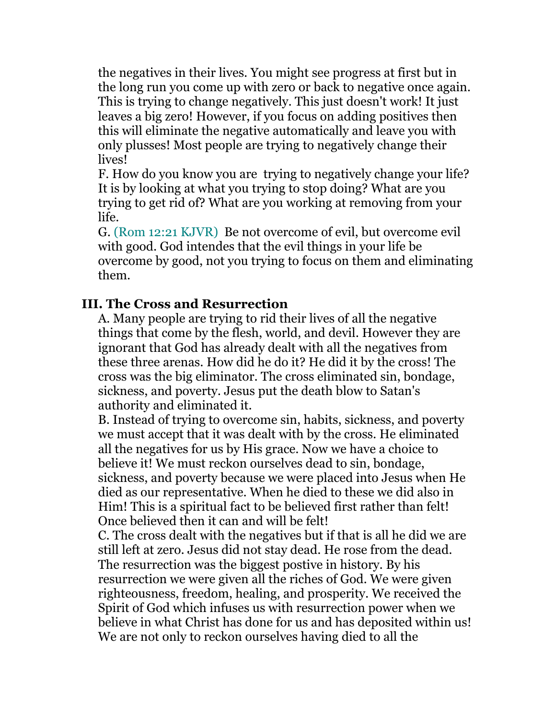the negatives in their lives. You might see progress at first but in the long run you come up with zero or back to negative once again. This is trying to change negatively. This just doesn't work! It just leaves a big zero! However, if you focus on adding positives then this will eliminate the negative automatically and leave you with only plusses! Most people are trying to negatively change their lives!

F. How do you know you are trying to negatively change your life? It is by looking at what you trying to stop doing? What are you trying to get rid of? What are you working at removing from your life.

G. (Rom 12:21 KJVR) Be not overcome of evil, but overcome evil with good. God intendes that the evil things in your life be overcome by good, not you trying to focus on them and eliminating them.

## **III. The Cross and Resurrection**

A. Many people are trying to rid their lives of all the negative things that come by the flesh, world, and devil. However they are ignorant that God has already dealt with all the negatives from these three arenas. How did he do it? He did it by the cross! The cross was the big eliminator. The cross eliminated sin, bondage, sickness, and poverty. Jesus put the death blow to Satan's authority and eliminated it.

B. Instead of trying to overcome sin, habits, sickness, and poverty we must accept that it was dealt with by the cross. He eliminated all the negatives for us by His grace. Now we have a choice to believe it! We must reckon ourselves dead to sin, bondage, sickness, and poverty because we were placed into Jesus when He died as our representative. When he died to these we did also in Him! This is a spiritual fact to be believed first rather than felt! Once believed then it can and will be felt!

C. The cross dealt with the negatives but if that is all he did we are still left at zero. Jesus did not stay dead. He rose from the dead. The resurrection was the biggest postive in history. By his resurrection we were given all the riches of God. We were given righteousness, freedom, healing, and prosperity. We received the Spirit of God which infuses us with resurrection power when we believe in what Christ has done for us and has deposited within us! We are not only to reckon ourselves having died to all the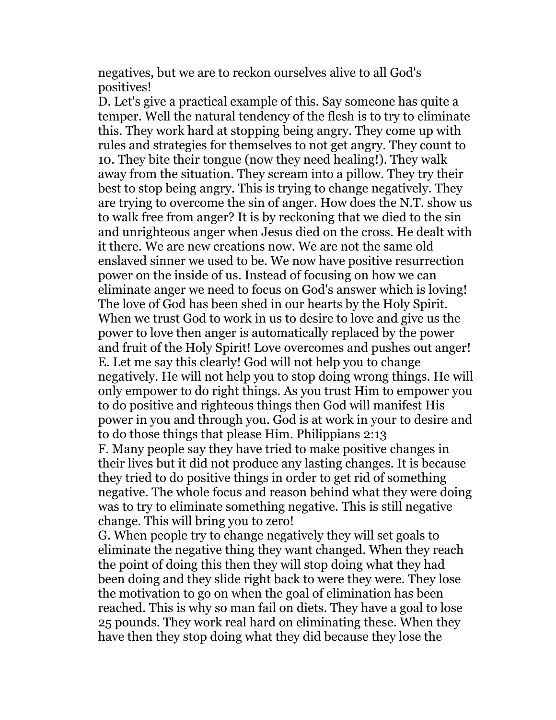negatives, but we are to reckon ourselves alive to all God's positives!

D. Let's give a practical example of this. Say someone has quite a temper. Well the natural tendency of the flesh is to try to eliminate this. They work hard at stopping being angry. They come up with rules and strategies for themselves to not get angry. They count to 10. They bite their tongue (now they need healing!). They walk away from the situation. They scream into a pillow. They try their best to stop being angry. This is trying to change negatively. They are trying to overcome the sin of anger. How does the N.T. show us to walk free from anger? It is by reckoning that we died to the sin and unrighteous anger when Jesus died on the cross. He dealt with it there. We are new creations now. We are not the same old enslaved sinner we used to be. We now have positive resurrection power on the inside of us. Instead of focusing on how we can eliminate anger we need to focus on God's answer which is loving! The love of God has been shed in our hearts by the Holy Spirit. When we trust God to work in us to desire to love and give us the power to love then anger is automatically replaced by the power and fruit of the Holy Spirit! Love overcomes and pushes out anger! E. Let me say this clearly! God will not help you to change negatively. He will not help you to stop doing wrong things. He will only empower to do right things. As you trust Him to empower you to do positive and righteous things then God will manifest His power in you and through you. God is at work in your to desire and to do those things that please Him. Philippians 2:13 F. Many people say they have tried to make positive changes in their lives but it did not produce any lasting changes. It is because they tried to do positive things in order to get rid of something negative. The whole focus and reason behind what they were doing was to try to eliminate something negative. This is still negative change. This will bring you to zero!

G. When people try to change negatively they will set goals to eliminate the negative thing they want changed. When they reach the point of doing this then they will stop doing what they had been doing and they slide right back to were they were. They lose the motivation to go on when the goal of elimination has been reached. This is why so man fail on diets. They have a goal to lose 25 pounds. They work real hard on eliminating these. When they have then they stop doing what they did because they lose the